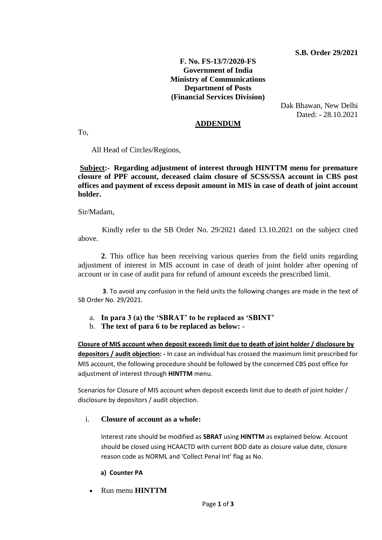**F. No. FS-13/7/2020-FS Government of India Ministry of Communications Department of Posts (Financial Services Division)**

> Dak Bhawan, New Delhi Dated: - 28.10.2021

## **ADDENDUM**

To,

All Head of Circles/Regions,

**Subject:- Regarding adjustment of interest through HINTTM menu for premature closure of PPF account, deceased claim closure of SCSS/SSA account in CBS post offices and payment of excess deposit amount in MIS in case of death of joint account holder.** 

Sir/Madam,

Kindly refer to the SB Order No. 29/2021 dated 13.10.2021 on the subject cited above.

**2**. This office has been receiving various queries from the field units regarding adjustment of interest in MIS account in case of death of joint holder after opening of account or in case of audit para for refund of amount exceeds the prescribed limit.

**3**. To avoid any confusion in the field units the following changes are made in the text of SB Order No. 29/2021.

a. **In para 3 (a) the 'SBRAT' to be replaced as 'SBINT'**

b. **The text of para 6 to be replaced as below: -**

**Closure of MIS account when deposit exceeds limit due to death of joint holder / disclosure by depositors / audit objection: -** In case an individual has crossed the maximum limit prescribed for MIS account, the following procedure should be followed by the concerned CBS post office for adjustment of interest through **HINTTM** menu.

Scenarios for Closure of MIS account when deposit exceeds limit due to death of joint holder / disclosure by depositors / audit objection.

# i. **Closure of account as a whole:**

Interest rate should be modified as **SBRAT** using **HINTTM** as explained below. Account should be closed using HCAACTD with current BOD date as closure value date, closure reason code as NORML and 'Collect Penal Int' flag as No.

# **a) Counter PA**

• Run menu **HINTTM**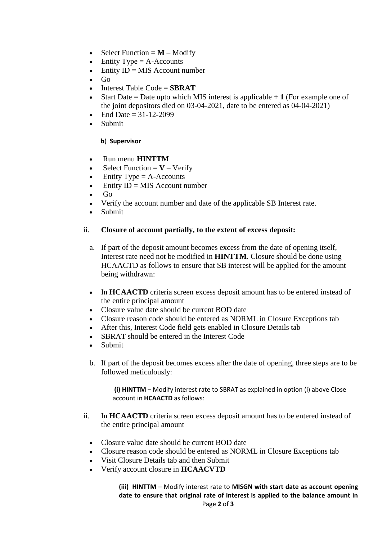- Select Function  $= M -$ Modify
- Entity Type  $=$  A-Accounts
- Entity  $ID = MIS$  Account number
- Go
- Interest Table Code = **SBRAT**
- Start Date  $=$  Date upto which MIS interest is applicable  $+1$  (For example one of the joint depositors died on 03-04-2021, date to be entered as 04-04-2021)
- End Date =  $31 12 2099$
- Submit

# **b**) **Supervisor**

- Run menu **HINTTM**
- Select Function  $=$  **V** Verify
- Entity Type  $=$  A-Accounts
- Entity  $ID = MIS$  Account number
- Go
- Verify the account number and date of the applicable SB Interest rate.
- Submit

# ii. **Closure of account partially, to the extent of excess deposit:**

- a. If part of the deposit amount becomes excess from the date of opening itself, Interest rate need not be modified in **HINTTM**. Closure should be done using HCAACTD as follows to ensure that SB interest will be applied for the amount being withdrawn:
- In **HCAACTD** criteria screen excess deposit amount has to be entered instead of the entire principal amount
- Closure value date should be current BOD date
- Closure reason code should be entered as NORML in Closure Exceptions tab
- After this, Interest Code field gets enabled in Closure Details tab
- SBRAT should be entered in the Interest Code
- Submit
- b. If part of the deposit becomes excess after the date of opening, three steps are to be followed meticulously:

**(i) HINTTM** – Modify interest rate to SBRAT as explained in option (i) above Close account in **HCAACTD** as follows:

- ii. In **HCAACTD** criteria screen excess deposit amount has to be entered instead of the entire principal amount
	- Closure value date should be current BOD date
	- Closure reason code should be entered as NORML in Closure Exceptions tab
	- Visit Closure Details tab and then Submit
	- Verify account closure in **HCAACVTD**

Page **2** of **3 (iii) HINTTM** – Modify interest rate to **MISGN with start date as account opening date to ensure that original rate of interest is applied to the balance amount in**